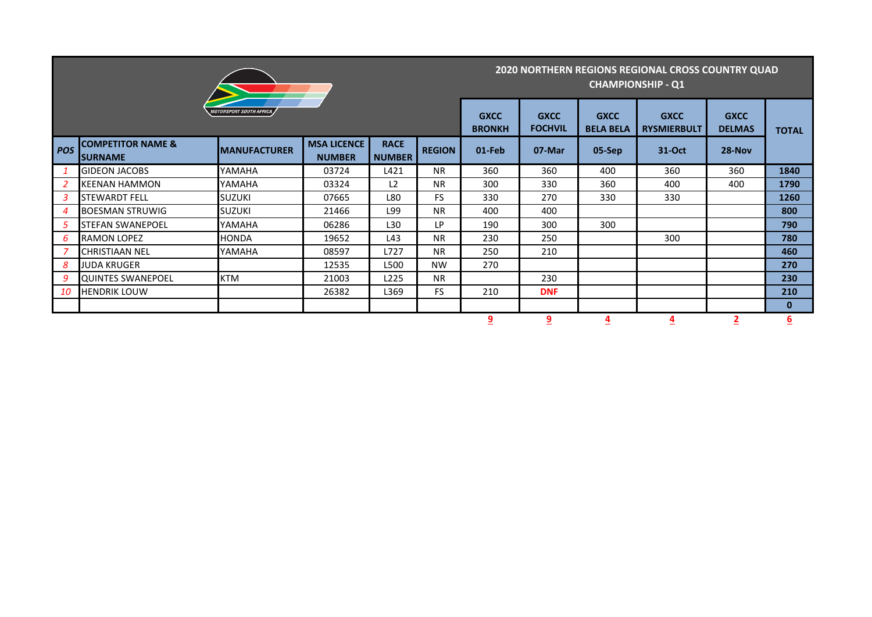|            |                                                |                                |                                     |                              |                               |                                 | 2020 NORTHERN REGIONS REGIONAL CROSS COUNTRY QUAD<br><b>CHAMPIONSHIP - Q1</b> |                              |              |        |              |  |  |
|------------|------------------------------------------------|--------------------------------|-------------------------------------|------------------------------|-------------------------------|---------------------------------|-------------------------------------------------------------------------------|------------------------------|--------------|--------|--------------|--|--|
|            |                                                | <b>MOTORSPORT SOUTH AFRICA</b> |                                     | <b>GXCC</b><br><b>BRONKH</b> | <b>GXCC</b><br><b>FOCHVIL</b> | <b>GXCC</b><br><b>BELA BELA</b> | <b>GXCC</b><br><b>RYSMIERBULT</b>                                             | <b>GXCC</b><br><b>DELMAS</b> | <b>TOTAL</b> |        |              |  |  |
| <b>POS</b> | <b>COMPETITOR NAME &amp;</b><br><b>SURNAME</b> | <b>IMANUFACTURER</b>           | <b>MSA LICENCE</b><br><b>NUMBER</b> | <b>RACE</b><br><b>NUMBER</b> | <b>REGION</b>                 | 01-Feb                          | 07-Mar                                                                        | 05-Sep                       | 31-Oct       | 28-Nov |              |  |  |
|            | <b>GIDEON JACOBS</b>                           | YAMAHA                         | 03724                               | L421                         | <b>NR</b>                     | 360                             | 360                                                                           | 400                          | 360          | 360    | 1840         |  |  |
| 2          | <b>KEENAN HAMMON</b>                           | YAMAHA                         | 03324                               | L2                           | <b>NR</b>                     | 300                             | 330                                                                           | 360                          | 400          | 400    | 1790         |  |  |
| 3          | <b>STEWARDT FELL</b>                           | <b>SUZUKI</b>                  | 07665                               | L80                          | <b>FS</b>                     | 330                             | 270                                                                           | 330                          | 330          |        | 1260         |  |  |
| 4          | <b>BOESMAN STRUWIG</b>                         | <b>SUZUKI</b>                  | 21466                               | L99                          | <b>NR</b>                     | 400                             | 400                                                                           |                              |              |        | 800          |  |  |
| 5          | <b>STEFAN SWANEPOEL</b>                        | YAMAHA                         | 06286                               | L30                          | LP                            | 190                             | 300                                                                           | 300                          |              |        | 790          |  |  |
| 6          | <b>RAMON LOPEZ</b>                             | HONDA                          | 19652                               | L43                          | <b>NR</b>                     | 230                             | 250                                                                           |                              | 300          |        | 780          |  |  |
| 7          | <b>CHRISTIAAN NEL</b>                          | YAMAHA                         | 08597                               | L727                         | <b>NR</b>                     | 250                             | 210                                                                           |                              |              |        | 460          |  |  |
| 8          | JUDA KRUGER                                    |                                | 12535                               | L500                         | <b>NW</b>                     | 270                             |                                                                               |                              |              |        | 270          |  |  |
| -9         | <b>QUINTES SWANEPOEL</b>                       | <b>KTM</b>                     | 21003                               | L225                         | <b>NR</b>                     |                                 | 230                                                                           |                              |              |        | 230          |  |  |
| 10         | <b>HENDRIK LOUW</b>                            |                                | 26382                               | L369                         | <b>FS</b>                     | 210                             | <b>DNF</b>                                                                    |                              |              |        | 210          |  |  |
|            |                                                |                                |                                     |                              |                               |                                 |                                                                               |                              |              |        | $\mathbf{0}$ |  |  |
|            |                                                |                                |                                     |                              |                               | <u>و</u>                        | $\overline{9}$                                                                | $\overline{4}$               | <u>4</u>     |        | <u>6</u>     |  |  |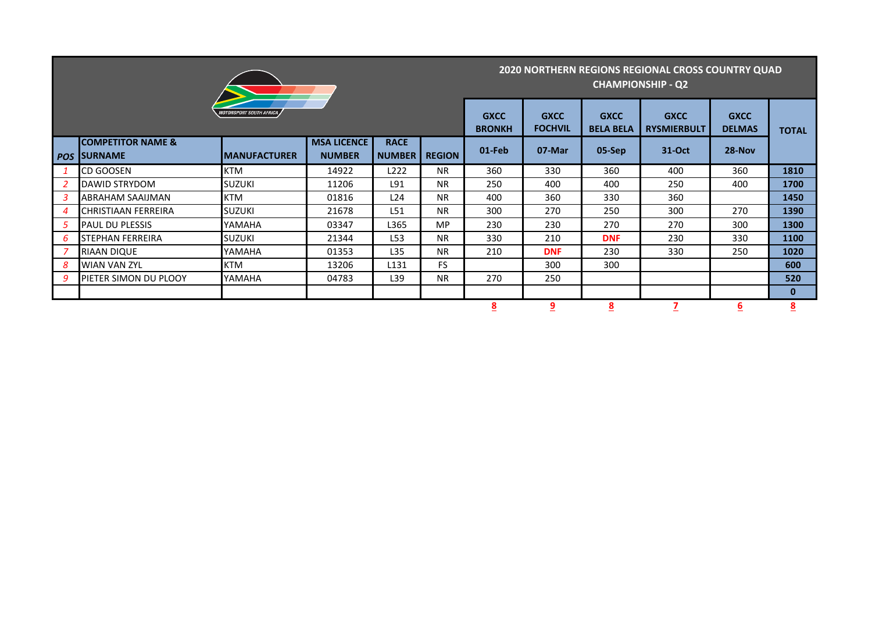| <b>MOTORSPORT SOUTH AFRICA</b> |                                                 |                      |                                     |                              |               |        | <b>2020 NORTHERN REGIONS REGIONAL CROSS COUNTRY QUAD</b><br><b>CHAMPIONSHIP - Q2</b> |                                 |                                   |                              |                         |  |  |
|--------------------------------|-------------------------------------------------|----------------------|-------------------------------------|------------------------------|---------------|--------|--------------------------------------------------------------------------------------|---------------------------------|-----------------------------------|------------------------------|-------------------------|--|--|
|                                |                                                 |                      |                                     |                              |               |        | <b>GXCC</b><br><b>FOCHVIL</b>                                                        | <b>GXCC</b><br><b>BELA BELA</b> | <b>GXCC</b><br><b>RYSMIERBULT</b> | <b>GXCC</b><br><b>DELMAS</b> | <b>TOTAL</b>            |  |  |
| <b>POS</b>                     | <b>COMPETITOR NAME &amp;</b><br><b>ISURNAME</b> | <b>IMANUFACTURER</b> | <b>MSA LICENCE</b><br><b>NUMBER</b> | <b>RACE</b><br><b>NUMBER</b> | <b>REGION</b> | 01-Feb | 07-Mar                                                                               | 05-Sep                          | 31-Oct                            | 28-Nov                       |                         |  |  |
|                                | <b>CD GOOSEN</b>                                | <b>KTM</b>           | 14922                               | L <sub>222</sub>             | <b>NR</b>     | 360    | 330                                                                                  | 360                             | 400                               | 360                          | 1810                    |  |  |
|                                | <b>DAWID STRYDOM</b>                            | <b>SUZUKI</b>        | 11206                               | L91                          | <b>NR</b>     | 250    | 400                                                                                  | 400                             | 250                               | 400                          | 1700                    |  |  |
| 3                              | <b>ABRAHAM SAAIJMAN</b>                         | <b>KTM</b>           | 01816                               | L24                          | <b>NR</b>     | 400    | 360                                                                                  | 330                             | 360                               |                              | 1450                    |  |  |
| 4                              | CHRISTIAAN FERREIRA                             | <b>SUZUKI</b>        | 21678                               | L51                          | <b>NR</b>     | 300    | 270                                                                                  | 250                             | 300                               | 270                          | 1390                    |  |  |
| 5                              | <b>PAUL DU PLESSIS</b>                          | YAMAHA               | 03347                               | L365                         | <b>MP</b>     | 230    | 230                                                                                  | 270                             | 270                               | 300                          | 1300                    |  |  |
| 6                              | <b>STEPHAN FERREIRA</b>                         | <b>SUZUKI</b>        | 21344                               | L53                          | <b>NR</b>     | 330    | 210                                                                                  | <b>DNF</b>                      | 230                               | 330                          | 1100                    |  |  |
|                                | <b>RIAAN DIQUE</b>                              | YAMAHA               | 01353                               | L35                          | <b>NR</b>     | 210    | <b>DNF</b>                                                                           | 230                             | 330                               | 250                          | 1020                    |  |  |
| 8                              | <b>WIAN VAN ZYL</b>                             | <b>KTM</b>           | 13206                               | L <sub>131</sub>             | <b>FS</b>     |        | 300                                                                                  | 300                             |                                   |                              | 600                     |  |  |
| 9                              | <b>IPIETER SIMON DU PLOOY</b>                   | YAMAHA               | 04783                               | L39                          | <b>NR</b>     | 270    | 250                                                                                  |                                 |                                   |                              | 520                     |  |  |
|                                |                                                 |                      |                                     |                              |               |        |                                                                                      |                                 |                                   |                              | $\bf{0}$                |  |  |
|                                |                                                 |                      |                                     |                              |               | 8      | 9                                                                                    | $\underline{8}$                 |                                   | <u>6</u>                     | $\overline{\mathbf{8}}$ |  |  |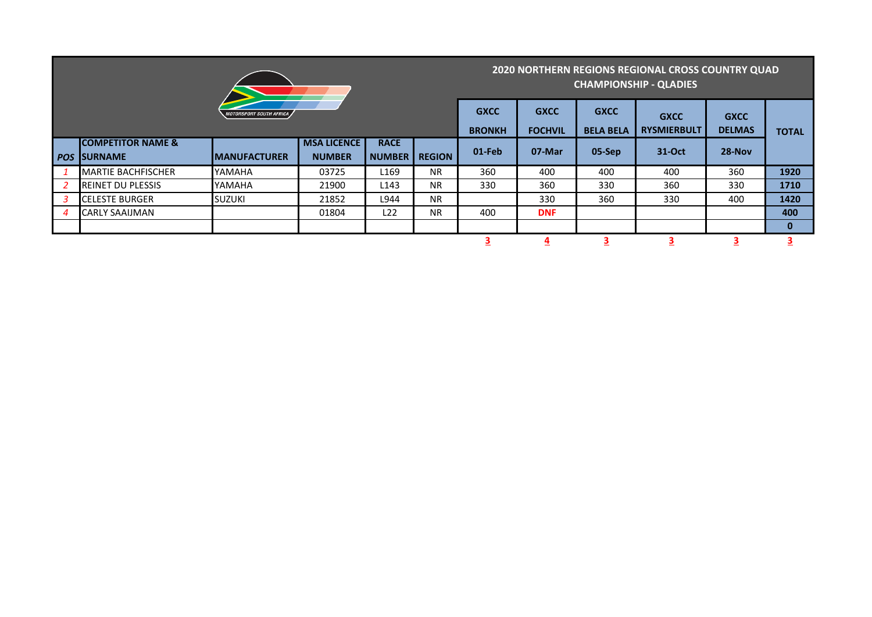|                         |                                                  |                      | <b>2020 NORTHERN REGIONS REGIONAL CROSS COUNTRY QUAD</b><br><b>CHAMPIONSHIP - QLADIES</b> |                              |               |           |                               |                                 |                                   |                              |              |
|-------------------------|--------------------------------------------------|----------------------|-------------------------------------------------------------------------------------------|------------------------------|---------------|-----------|-------------------------------|---------------------------------|-----------------------------------|------------------------------|--------------|
| MOTORSPORT SOUTH AFRICA |                                                  |                      |                                                                                           |                              |               |           | <b>GXCC</b><br><b>FOCHVIL</b> | <b>GXCC</b><br><b>BELA BELA</b> | <b>GXCC</b><br><b>RYSMIERBULT</b> | <b>GXCC</b><br><b>DELMAS</b> | <b>TOTAL</b> |
| <b>POS</b>              | <b>ICOMPETITOR NAME &amp;</b><br><b>ISURNAME</b> | <b>IMANUFACTURER</b> | <b>MSA LICENCE</b><br><b>NUMBER</b>                                                       | <b>RACE</b><br><b>NUMBER</b> | <b>REGION</b> | $01$ -Feb | 07-Mar                        | 05-Sep                          | 31-Oct                            | 28-Nov                       |              |
|                         | <b>IMARTIE BACHFISCHER</b>                       | YAMAHA               | 03725                                                                                     | L <sub>169</sub>             | <b>NR</b>     | 360       | 400                           | 400                             | 400                               | 360                          | 1920         |
|                         | <b>REINET DU PLESSIS</b>                         | YAMAHA               | 21900                                                                                     | L143                         | <b>NR</b>     | 330       | 360                           | 330                             | 360                               | 330                          | 1710         |
| $\mathbf{3}$            | <b>ICELESTE BURGER</b>                           | <b>SUZUKI</b>        | 21852                                                                                     | L944                         | <b>NR</b>     |           | 330                           | 360                             | 330                               | 400                          | 1420         |
| $\boldsymbol{4}$        | <b>CARLY SAAIJMAN</b>                            |                      | 01804                                                                                     | L22                          | <b>NR</b>     | 400       | <b>DNF</b>                    |                                 |                                   |                              | 400          |
|                         |                                                  |                      |                                                                                           |                              |               |           |                               |                                 |                                   |                              | $\bf{0}$     |
|                         |                                                  |                      |                                                                                           |                              |               |           | $\overline{4}$                |                                 |                                   |                              |              |